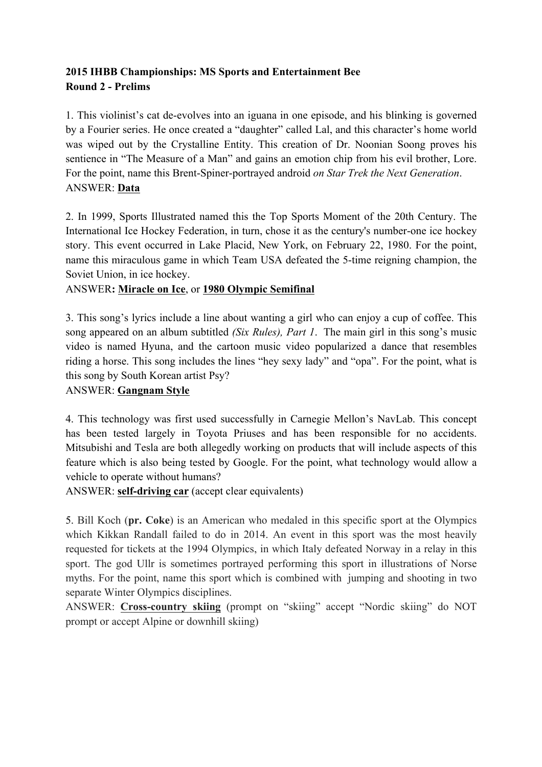# **2015 IHBB Championships: MS Sports and Entertainment Bee Round 2 - Prelims**

1. This violinist's cat de-evolves into an iguana in one episode, and his blinking is governed by a Fourier series. He once created a "daughter" called Lal, and this character's home world was wiped out by the Crystalline Entity. This creation of Dr. Noonian Soong proves his sentience in "The Measure of a Man" and gains an emotion chip from his evil brother, Lore. For the point, name this Brent-Spiner-portrayed android *on Star Trek the Next Generation*. ANSWER: **Data**

2. In 1999, Sports Illustrated named this the Top Sports Moment of the 20th Century. The International Ice Hockey Federation, in turn, chose it as the century's number-one ice hockey story. This event occurred in Lake Placid, New York, on February 22, 1980. For the point, name this miraculous game in which Team USA defeated the 5-time reigning champion, the Soviet Union, in ice hockey.

## ANSWER**: Miracle on Ice**, or **1980 Olympic Semifinal**

3. This song's lyrics include a line about wanting a girl who can enjoy a cup of coffee. This song appeared on an album subtitled *(Six Rules), Part 1*. The main girl in this song's music video is named Hyuna, and the cartoon music video popularized a dance that resembles riding a horse. This song includes the lines "hey sexy lady" and "opa". For the point, what is this song by South Korean artist Psy?

### ANSWER: **Gangnam Style**

4. This technology was first used successfully in Carnegie Mellon's NavLab. This concept has been tested largely in Toyota Priuses and has been responsible for no accidents. Mitsubishi and Tesla are both allegedly working on products that will include aspects of this feature which is also being tested by Google. For the point, what technology would allow a vehicle to operate without humans?

ANSWER: **self-driving car** (accept clear equivalents)

5. Bill Koch (**pr. Coke**) is an American who medaled in this specific sport at the Olympics which Kikkan Randall failed to do in 2014. An event in this sport was the most heavily requested for tickets at the 1994 Olympics, in which Italy defeated Norway in a relay in this sport. The god Ullr is sometimes portrayed performing this sport in illustrations of Norse myths. For the point, name this sport which is combined with jumping and shooting in two separate Winter Olympics disciplines.

ANSWER: **Cross-country skiing** (prompt on "skiing" accept "Nordic skiing" do NOT prompt or accept Alpine or downhill skiing)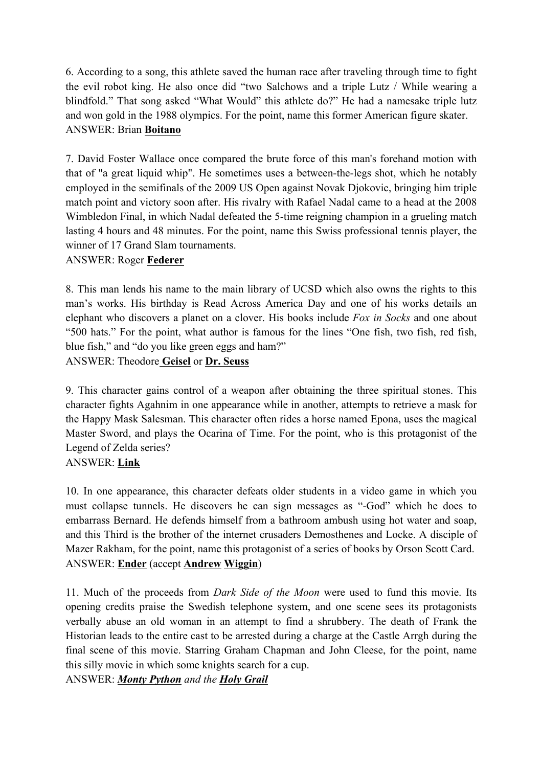6. According to a song, this athlete saved the human race after traveling through time to fight the evil robot king. He also once did "two Salchows and a triple Lutz / While wearing a blindfold." That song asked "What Would" this athlete do?" He had a namesake triple lutz and won gold in the 1988 olympics. For the point, name this former American figure skater. ANSWER: Brian **Boitano**

7. David Foster Wallace once compared the brute force of this man's forehand motion with that of "a great liquid whip". He sometimes uses a between-the-legs shot, which he notably employed in the semifinals of the 2009 US Open against Novak Djokovic, bringing him triple match point and victory soon after. His rivalry with Rafael Nadal came to a head at the 2008 Wimbledon Final, in which Nadal defeated the 5-time reigning champion in a grueling match lasting 4 hours and 48 minutes. For the point, name this Swiss professional tennis player, the winner of 17 Grand Slam tournaments.

## ANSWER: Roger **Federer**

8. This man lends his name to the main library of UCSD which also owns the rights to this man's works. His birthday is Read Across America Day and one of his works details an elephant who discovers a planet on a clover. His books include *Fox in Socks* and one about "500 hats." For the point, what author is famous for the lines "One fish, two fish, red fish, blue fish," and "do you like green eggs and ham?"

ANSWER: Theodore **Geisel** or **Dr. Seuss**

9. This character gains control of a weapon after obtaining the three spiritual stones. This character fights Agahnim in one appearance while in another, attempts to retrieve a mask for the Happy Mask Salesman. This character often rides a horse named Epona, uses the magical Master Sword, and plays the Ocarina of Time. For the point, who is this protagonist of the Legend of Zelda series?

## ANSWER: **Link**

10. In one appearance, this character defeats older students in a video game in which you must collapse tunnels. He discovers he can sign messages as "-God" which he does to embarrass Bernard. He defends himself from a bathroom ambush using hot water and soap, and this Third is the brother of the internet crusaders Demosthenes and Locke. A disciple of Mazer Rakham, for the point, name this protagonist of a series of books by Orson Scott Card. ANSWER: **Ender** (accept **Andrew Wiggin**)

11. Much of the proceeds from *Dark Side of the Moon* were used to fund this movie. Its opening credits praise the Swedish telephone system, and one scene sees its protagonists verbally abuse an old woman in an attempt to find a shrubbery. The death of Frank the Historian leads to the entire cast to be arrested during a charge at the Castle Arrgh during the final scene of this movie. Starring Graham Chapman and John Cleese, for the point, name this silly movie in which some knights search for a cup.

ANSWER: *Monty Python and the Holy Grail*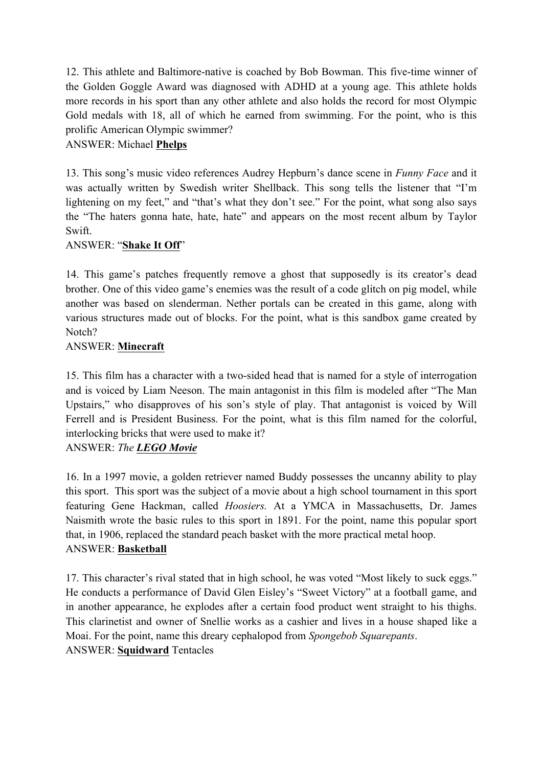12. This athlete and Baltimore-native is coached by Bob Bowman. This five-time winner of the Golden Goggle Award was diagnosed with ADHD at a young age. This athlete holds more records in his sport than any other athlete and also holds the record for most Olympic Gold medals with 18, all of which he earned from swimming. For the point, who is this prolific American Olympic swimmer?

## ANSWER: Michael **Phelps**

13. This song's music video references Audrey Hepburn's dance scene in *Funny Face* and it was actually written by Swedish writer Shellback. This song tells the listener that "I'm lightening on my feet," and "that's what they don't see." For the point, what song also says the "The haters gonna hate, hate, hate" and appears on the most recent album by Taylor Swift.

## ANSWER: "**Shake It Off**"

14. This game's patches frequently remove a ghost that supposedly is its creator's dead brother. One of this video game's enemies was the result of a code glitch on pig model, while another was based on slenderman. Nether portals can be created in this game, along with various structures made out of blocks. For the point, what is this sandbox game created by Notch?

### ANSWER: **Minecraft**

15. This film has a character with a two-sided head that is named for a style of interrogation and is voiced by Liam Neeson. The main antagonist in this film is modeled after "The Man Upstairs," who disapproves of his son's style of play. That antagonist is voiced by Will Ferrell and is President Business. For the point, what is this film named for the colorful, interlocking bricks that were used to make it?

## ANSWER: *The LEGO Movie*

16. In a 1997 movie, a golden retriever named Buddy possesses the uncanny ability to play this sport. This sport was the subject of a movie about a high school tournament in this sport featuring Gene Hackman, called *Hoosiers.* At a YMCA in Massachusetts, Dr. James Naismith wrote the basic rules to this sport in 1891. For the point, name this popular sport that, in 1906, replaced the standard peach basket with the more practical metal hoop. ANSWER: **Basketball**

17. This character's rival stated that in high school, he was voted "Most likely to suck eggs." He conducts a performance of David Glen Eisley's "Sweet Victory" at a football game, and in another appearance, he explodes after a certain food product went straight to his thighs. This clarinetist and owner of Snellie works as a cashier and lives in a house shaped like a Moai. For the point, name this dreary cephalopod from *Spongebob Squarepants*. ANSWER: **Squidward** Tentacles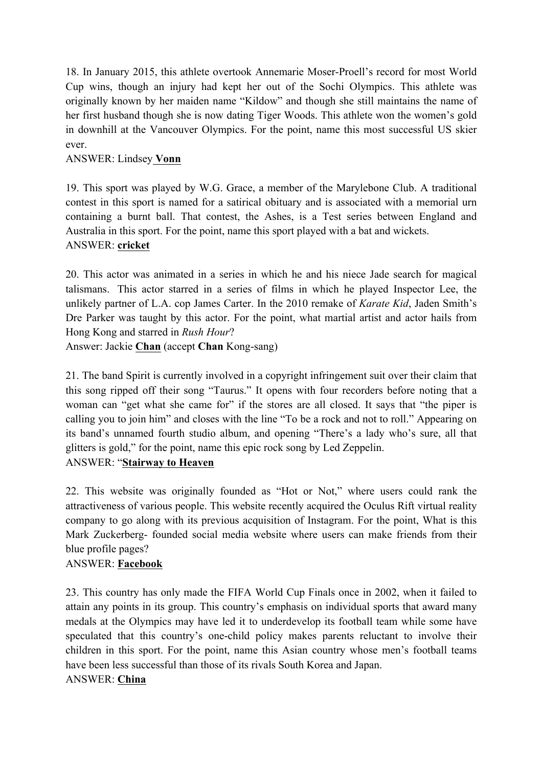18. In January 2015, this athlete overtook Annemarie Moser-Proell's record for most World Cup wins, though an injury had kept her out of the Sochi Olympics. This athlete was originally known by her maiden name "Kildow" and though she still maintains the name of her first husband though she is now dating Tiger Woods. This athlete won the women's gold in downhill at the Vancouver Olympics. For the point, name this most successful US skier ever.

## ANSWER: Lindsey **Vonn**

19. This sport was played by W.G. Grace, a member of the Marylebone Club. A traditional contest in this sport is named for a satirical obituary and is associated with a memorial urn containing a burnt ball. That contest, the Ashes, is a Test series between England and Australia in this sport. For the point, name this sport played with a bat and wickets. ANSWER: **cricket**

20. This actor was animated in a series in which he and his niece Jade search for magical talismans. This actor starred in a series of films in which he played Inspector Lee, the unlikely partner of L.A. cop James Carter. In the 2010 remake of *Karate Kid*, Jaden Smith's Dre Parker was taught by this actor. For the point, what martial artist and actor hails from Hong Kong and starred in *Rush Hour*?

Answer: Jackie **Chan** (accept **Chan** Kong-sang)

21. The band Spirit is currently involved in a copyright infringement suit over their claim that this song ripped off their song "Taurus." It opens with four recorders before noting that a woman can "get what she came for" if the stores are all closed. It says that "the piper is calling you to join him" and closes with the line "To be a rock and not to roll." Appearing on its band's unnamed fourth studio album, and opening "There's a lady who's sure, all that glitters is gold," for the point, name this epic rock song by Led Zeppelin.

ANSWER: "**Stairway to Heaven**

22. This website was originally founded as "Hot or Not," where users could rank the attractiveness of various people. This website recently acquired the Oculus Rift virtual reality company to go along with its previous acquisition of Instagram. For the point, What is this Mark Zuckerberg- founded social media website where users can make friends from their blue profile pages?

## ANSWER: **Facebook**

23. This country has only made the FIFA World Cup Finals once in 2002, when it failed to attain any points in its group. This country's emphasis on individual sports that award many medals at the Olympics may have led it to underdevelop its football team while some have speculated that this country's one-child policy makes parents reluctant to involve their children in this sport. For the point, name this Asian country whose men's football teams have been less successful than those of its rivals South Korea and Japan.

## ANSWER: **China**